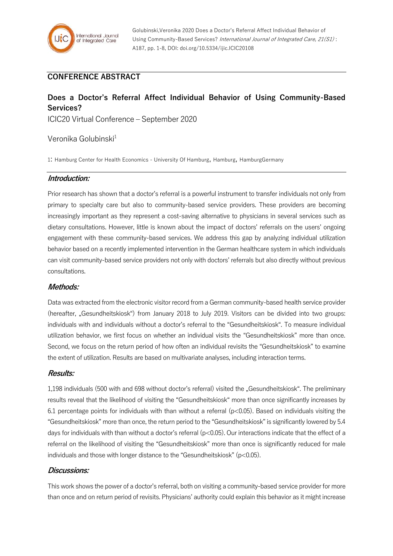

# **CONFERENCE ABSTRACT**

# **Does a Doctor's Referral Affect Individual Behavior of Using Community-Based Services?**

ICIC20 Virtual Conference – September 2020

# Veronika Golubinski<sup>1</sup>

1: Hamburg Center for Health Economics - University Of Hamburg, Hamburg, HamburgGermany

### **Introduction:**

Prior research has shown that a doctor's referral is a powerful instrument to transfer individuals not only from primary to specialty care but also to community-based service providers. These providers are becoming increasingly important as they represent a cost-saving alternative to physicians in several services such as dietary consultations. However, little is known about the impact of doctors' referrals on the users' ongoing engagement with these community-based services. We address this gap by analyzing individual utilization behavior based on a recently implemented intervention in the German healthcare system in which individuals can visit community-based service providers not only with doctors' referrals but also directly without previous consultations.

#### **Methods:**

Data was extracted from the electronic visitor record from a German community-based health service provider (hereafter, "Gesundheitskiosk") from January 2018 to July 2019. Visitors can be divided into two groups: individuals with and individuals without a doctor's referral to the "Gesundheitskiosk". To measure individual utilization behavior, we first focus on whether an individual visits the "Gesundheitskiosk" more than once. Second, we focus on the return period of how often an individual revisits the "Gesundheitskiosk" to examine the extent of utilization. Results are based on multivariate analyses, including interaction terms.

#### **Results:**

1,198 individuals (500 with and 698 without doctor's referral) visited the "Gesundheitskiosk". The preliminary results reveal that the likelihood of visiting the "Gesundheitskiosk" more than once significantly increases by 6.1 percentage points for individuals with than without a referral  $(p<0.05)$ . Based on individuals visiting the "Gesundheitskiosk" more than once, the return period to the "Gesundheitskiosk" is significantly lowered by 5.4 days for individuals with than without a doctor's referral (p<0.05). Our interactions indicate that the effect of a referral on the likelihood of visiting the "Gesundheitskiosk" more than once is significantly reduced for male individuals and those with longer distance to the "Gesundheitskiosk" (p<0.05).

### **Discussions:**

This work shows the power of a doctor's referral, both on visiting a community-based service provider for more than once and on return period of revisits. Physicians' authority could explain this behavior as it might increase